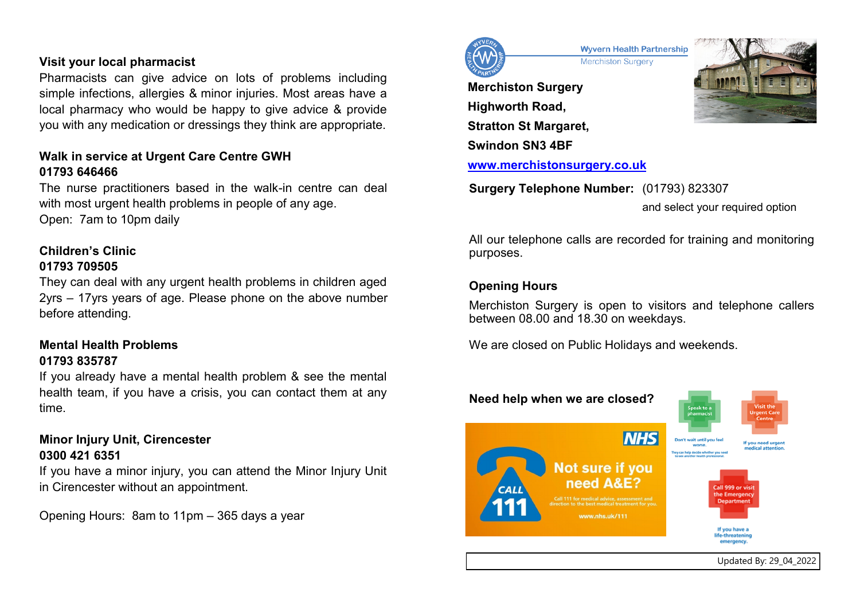### **Visit your local pharmacist**

Pharmacists can give advice on lots of problems including simple infections, allergies & minor injuries. Most areas have a local pharmacy who would be happy to give advice & provide you with any medication or dressings they think are appropriate.

# **Walk in service at Urgent Care Centre GWH 01793 646466**

The nurse practitioners based in the walk-in centre can deal with most urgent health problems in people of any age. Open: 7am to 10pm daily

# **Children's Clinic**

#### **01793 709505**

They can deal with any urgent health problems in children aged 2yrs – 17yrs years of age. Please phone on the above number before attending.

# **Mental Health Problems 01793 835787**

If you already have a mental health problem & see the mental health team, if you have a crisis, you can contact them at any time.

# **Minor Injury Unit, Cirencester 0300 421 6351**

If you have a minor injury, you can attend the Minor Injury Unit in Cirencester without an appointment.

Opening Hours: 8am to 11pm – 365 days a year



**Wyvern Health Partnership Merchiston Surgery** 

**Merchiston Surgery Highworth Road, Stratton St Margaret, Swindon SN3 4BF [www.merchistonsurgery.co.uk](http://www.merchistonsurgery.co.uk)**



**Surgery Telephone Number:** (01793) 823307 and select your required option

All our telephone calls are recorded for training and monitoring purposes.

# **Opening Hours**

Merchiston Surgery is open to visitors and telephone callers between 08.00 and 18.30 on weekdays.

We are closed on Public Holidays and weekends.

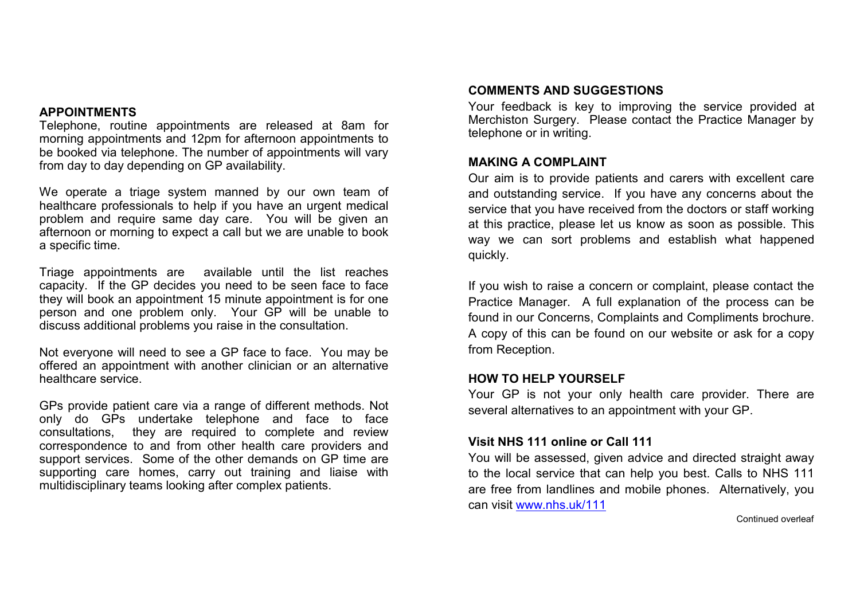#### **APPOINTMENTS**

Telephone, routine appointments are released at 8am for morning appointments and 12pm for afternoon appointments to be booked via telephone. The number of appointments will vary from day to day depending on GP availability.

We operate a triage system manned by our own team of healthcare professionals to help if you have an urgent medical problem and require same day care. You will be given an afternoon or morning to expect a call but we are unable to book a specific time.

Triage appointments are available until the list reaches capacity. If the GP decides you need to be seen face to face they will book an appointment 15 minute appointment is for one person and one problem only. Your GP will be unable to discuss additional problems you raise in the consultation.

Not everyone will need to see a GP face to face. You may be offered an appointment with another clinician or an alternative healthcare service.

GPs provide patient care via a range of different methods. Not only do GPs undertake telephone and face to face consultations, they are required to complete and review correspondence to and from other health care providers and support services. Some of the other demands on GP time are supporting care homes, carry out training and liaise with multidisciplinary teams looking after complex patients.

### **COMMENTS AND SUGGESTIONS**

Your feedback is key to improving the service provided at Merchiston Surgery. Please contact the Practice Manager by telephone or in writing.

#### **MAKING A COMPLAINT**

Our aim is to provide patients and carers with excellent care and outstanding service. If you have any concerns about the service that you have received from the doctors or staff working at this practice, please let us know as soon as possible. This way we can sort problems and establish what happened quickly.

If you wish to raise a concern or complaint, please contact the Practice Manager. A full explanation of the process can be found in our Concerns, Complaints and Compliments brochure. A copy of this can be found on our website or ask for a copy from Reception.

### **HOW TO HELP YOURSELF**

Your GP is not your only health care provider. There are several alternatives to an appointment with your GP.

### **Visit NHS 111 online or Call 111**

You will be assessed, given advice and directed straight away to the local service that can help you best. Calls to NHS 111 are free from landlines and mobile phones. Alternatively, you can visit [www.nhs.uk/111](http://www.nhs.uk/111)

Continued overleaf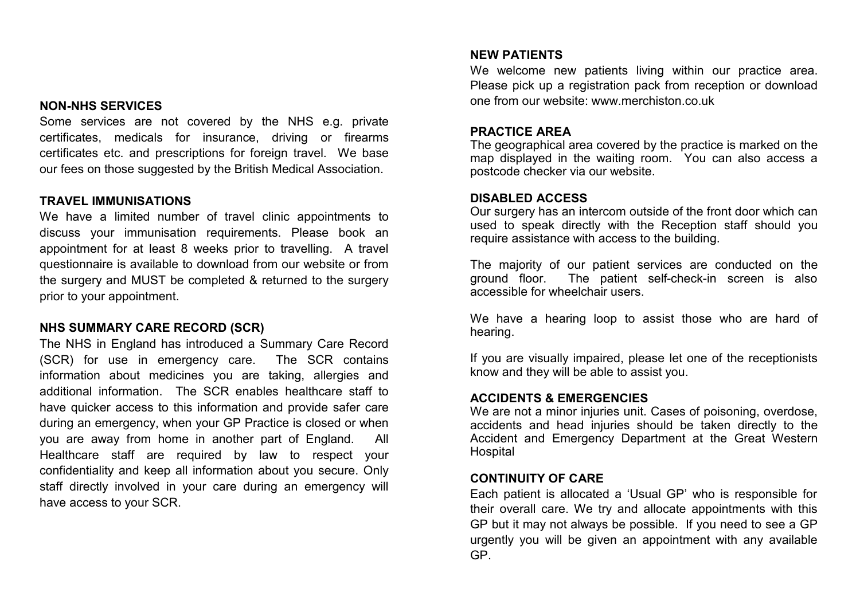#### **NON-NHS SERVICES**

Some services are not covered by the NHS e.g. private certificates, medicals for insurance, driving or firearms certificates etc. and prescriptions for foreign travel. We base our fees on those suggested by the British Medical Association.

#### **TRAVEL IMMUNISATIONS**

We have a limited number of travel clinic appointments to discuss your immunisation requirements. Please book an appointment for at least 8 weeks prior to travelling. A travel questionnaire is available to download from our website or from the surgery and MUST be completed & returned to the surgery prior to your appointment.

#### **NHS SUMMARY CARE RECORD (SCR)**

The NHS in England has introduced a Summary Care Record (SCR) for use in emergency care. The SCR contains information about medicines you are taking, allergies and additional information. The SCR enables healthcare staff to have quicker access to this information and provide safer care during an emergency, when your GP Practice is closed or when you are away from home in another part of England. All Healthcare staff are required by law to respect your confidentiality and keep all information about you secure. Only staff directly involved in your care during an emergency will have access to your SCR.

#### **NEW PATIENTS**

We welcome new patients living within our practice area. Please pick up a registration pack from reception or download one from our website: www.merchiston.co.uk

#### **PRACTICE AREA**

The geographical area covered by the practice is marked on the map displayed in the waiting room. You can also access a postcode checker via our website.

#### **DISABLED ACCESS**

Our surgery has an intercom outside of the front door which can used to speak directly with the Reception staff should you require assistance with access to the building.

The majority of our patient services are conducted on the ground floor. The patient self-check-in screen is also accessible for wheelchair users.

We have a hearing loop to assist those who are hard of hearing.

If you are visually impaired, please let one of the receptionists know and they will be able to assist you.

#### **ACCIDENTS & EMERGENCIES**

We are not a minor injuries unit. Cases of poisoning, overdose, accidents and head injuries should be taken directly to the Accident and Emergency Department at the Great Western Hospital

#### **CONTINUITY OF CARE**

Each patient is allocated a 'Usual GP' who is responsible for their overall care. We try and allocate appointments with this GP but it may not always be possible. If you need to see a GP urgently you will be given an appointment with any available GP.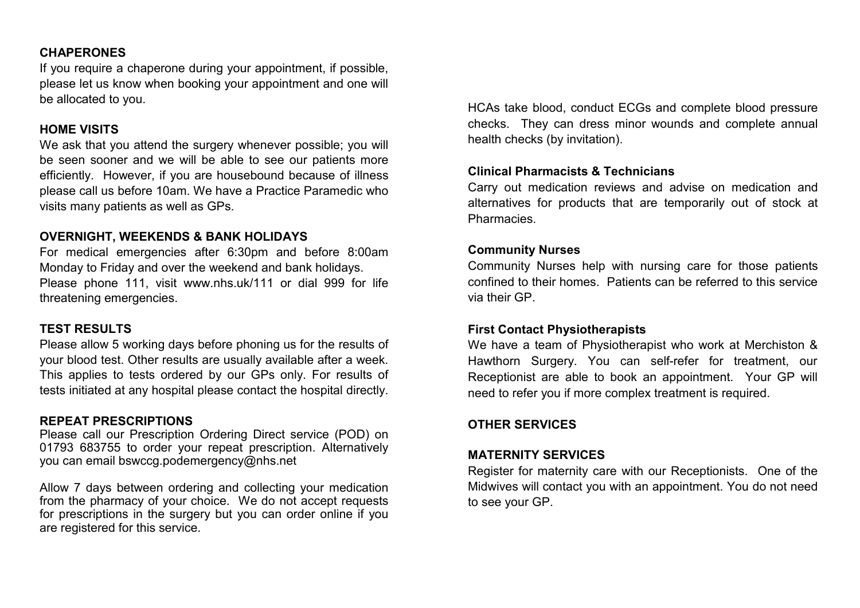# **CHAPERONES**

If you require a chaperone during your appointment, if possible, please let us know when booking your appointment and one will be allocated to you.

# **HOME VISITS**

We ask that you attend the surgery whenever possible; you will be seen sooner and we will be able to see our patients more efficiently. However, if you are housebound because of illness please call us before 10am. We have a Practice Paramedic who visits many patients as well as GPs.

### **OVERNIGHT, WEEKENDS & BANK HOLIDAYS**

For medical emergencies after 6:30pm and before 8:00am Monday to Friday and over the weekend and bank holidays. Please phone 111, visit www.nhs.uk/111 or dial 999 for life threatening emergencies.

# **TEST RESULTS**

Please allow 5 working days before phoning us for the results of your blood test. Other results are usually available after a week. This applies to tests ordered by our GPs only. For results of tests initiated at any hospital please contact the hospital directly.

# **REPEAT PRESCRIPTIONS**

Please call our Prescription Ordering Direct service (POD) on 01793 683755 to order your repeat prescription. Alternatively you can email bswccg.podemergency@nhs.net

Allow 7 days between ordering and collecting your medication from the pharmacy of your choice. We do not accept requests for prescriptions in the surgery but you can order online if you are registered for this service.

HCAs take blood, conduct ECGs and complete blood pressure checks. They can dress minor wounds and complete annual health checks (by invitation).

# **Clinical Pharmacists & Technicians**

Carry out medication reviews and advise on medication and alternatives for products that are temporarily out of stock at Pharmacies.

# **Community Nurses**

Community Nurses help with nursing care for those patients confined to their homes. Patients can be referred to this service via their GP.

# **First Contact Physiotherapists**

We have a team of Physiotherapist who work at Merchiston & Hawthorn Surgery. You can self-refer for treatment, our Receptionist are able to book an appointment. Your GP will need to refer you if more complex treatment is required.

# **OTHER SERVICES**

# **MATERNITY SERVICES**

Register for maternity care with our Receptionists. One of the Midwives will contact you with an appointment. You do not need to see your GP.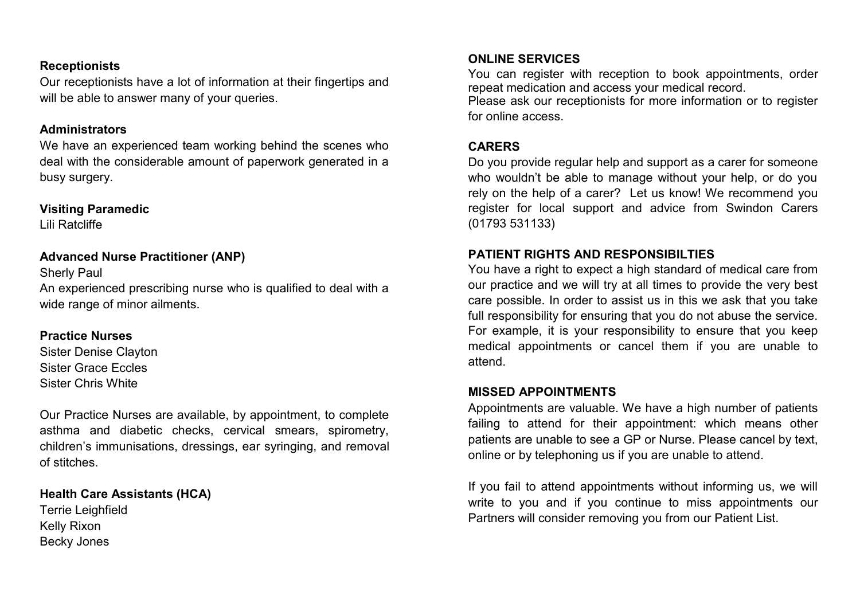### **Receptionists**

Our receptionists have a lot of information at their fingertips and will be able to answer many of your queries.

#### **Administrators**

We have an experienced team working behind the scenes who deal with the considerable amount of paperwork generated in a busy surgery.

### **Visiting Paramedic**

Lili Ratcliffe

# **Advanced Nurse Practitioner (ANP)**

Sherly Paul An experienced prescribing nurse who is qualified to deal with a wide range of minor ailments.

# **Practice Nurses**

Sister Denise Clayton Sister Grace Eccles Sister Chris White

Our Practice Nurses are available, by appointment, to complete asthma and diabetic checks, cervical smears, spirometry, children's immunisations, dressings, ear syringing, and removal of stitches.

# **Health Care Assistants (HCA)**

Terrie Leighfield Kelly Rixon Becky Jones

# **ONLINE SERVICES**

You can register with reception to book appointments, order repeat medication and access your medical record.

Please ask our receptionists for more information or to register for online access.

# **CARERS**

Do you provide regular help and support as a carer for someone who wouldn't be able to manage without your help, or do you rely on the help of a carer? Let us know! We recommend you register for local support and advice from Swindon Carers (01793 531133)

# **PATIENT RIGHTS AND RESPONSIBILTIES**

You have a right to expect a high standard of medical care from our practice and we will try at all times to provide the very best care possible. In order to assist us in this we ask that you take full responsibility for ensuring that you do not abuse the service. For example, it is your responsibility to ensure that you keep medical appointments or cancel them if you are unable to attend.

### **MISSED APPOINTMENTS**

Appointments are valuable. We have a high number of patients failing to attend for their appointment: which means other patients are unable to see a GP or Nurse. Please cancel by text, online or by telephoning us if you are unable to attend.

If you fail to attend appointments without informing us, we will write to you and if you continue to miss appointments our Partners will consider removing you from our Patient List.